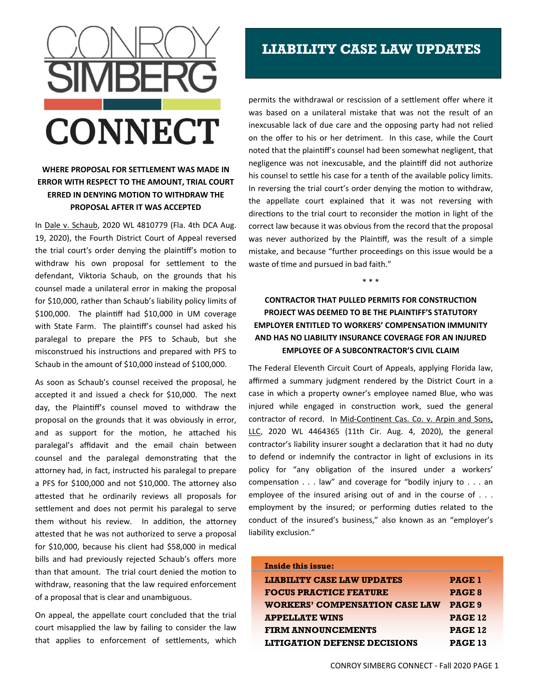

## **WHERE PROPOSAL FOR SETTLEMENT WAS MADE IN ERROR WITH RESPECT TO THE AMOUNT, TRIAL COURT ERRED IN DENYING MOTION TO WITHDRAW THE PROPOSAL AFTER IT WAS ACCEPTED**

In Dale v. Schaub, 2020 WL 4810779 (Fla. 4th DCA Aug. 19, 2020), the Fourth District Court of Appeal reversed the trial court's order denying the plaintiff's motion to withdraw his own proposal for settlement to the defendant, Viktoria Schaub, on the grounds that his counsel made a unilateral error in making the proposal for \$10,000, rather than Schaub's liability policy limits of \$100,000. The plaintiff had \$10,000 in UM coverage with State Farm. The plaintiff's counsel had asked his paralegal to prepare the PFS to Schaub, but she misconstrued his instructions and prepared with PFS to Schaub in the amount of \$10,000 instead of \$100,000.

As soon as Schaub's counsel received the proposal, he accepted it and issued a check for \$10,000. The next day, the Plaintiff's counsel moved to withdraw the proposal on the grounds that it was obviously in error, and as support for the motion, he attached his paralegal's affidavit and the email chain between counsel and the paralegal demonstrating that the attorney had, in fact, instructed his paralegal to prepare a PFS for \$100,000 and not \$10,000. The attorney also attested that he ordinarily reviews all proposals for settlement and does not permit his paralegal to serve them without his review. In addition, the attorney attested that he was not authorized to serve a proposal for \$10,000, because his client had \$58,000 in medical bills and had previously rejected Schaub's offers more than that amount. The trial court denied the motion to withdraw, reasoning that the law required enforcement of a proposal that is clear and unambiguous.

On appeal, the appellate court concluded that the trial court misapplied the law by failing to consider the law that applies to enforcement of settlements, which

## **LIABILITY CASE LAW UPDATES**

permits the withdrawal or rescission of a settlement offer where it was based on a unilateral mistake that was not the result of an inexcusable lack of due care and the opposing party had not relied on the offer to his or her detriment. In this case, while the Court noted that the plaintiff's counsel had been somewhat negligent, that negligence was not inexcusable, and the plaintiff did not authorize his counsel to settle his case for a tenth of the available policy limits. In reversing the trial court's order denying the motion to withdraw, the appellate court explained that it was not reversing with directions to the trial court to reconsider the motion in light of the correct law because it was obvious from the record that the proposal was never authorized by the Plaintiff, was the result of a simple mistake, and because "further proceedings on this issue would be a waste of time and pursued in bad faith."

**CONTRACTOR THAT PULLED PERMITS FOR CONSTRUCTION PROJECT WAS DEEMED TO BE THE PLAINTIFF'S STATUTORY EMPLOYER ENTITLED TO WORKERS' COMPENSATION IMMUNITY AND HAS NO LIABILITY INSURANCE COVERAGE FOR AN INJURED EMPLOYEE OF A SUBCONTRACTOR'S CIVIL CLAIM**

\* \* \*

The Federal Eleventh Circuit Court of Appeals, applying Florida law, affirmed a summary judgment rendered by the District Court in a case in which a property owner's employee named Blue, who was injured while engaged in construction work, sued the general contractor of record. In Mid-Continent Cas. Co. v. Arpin and Sons, LLC, 2020 WL 4464365 (11th Cir. Aug. 4, 2020), the general contractor's liability insurer sought a declaration that it had no duty to defend or indemnify the contractor in light of exclusions in its policy for "any obligation of the insured under a workers' compensation  $\dots$  law" and coverage for "bodily injury to  $\dots$  an employee of the insured arising out of and in the course of . . . employment by the insured; or performing duties related to the conduct of the insured's business," also known as an "employer's liability exclusion."

| Inside this issue:                    |                |
|---------------------------------------|----------------|
| <b>LIABILITY CASE LAW UPDATES</b>     | <b>PAGE 1</b>  |
| <b>FOCUS PRACTICE FEATURE</b>         | <b>PAGE 8</b>  |
| <b>WORKERS' COMPENSATION CASE LAW</b> | PAGE 9         |
| <b>APPELLATE WINS</b>                 | <b>PAGE 12</b> |
| <b>FIRM ANNOUNCEMENTS</b>             | <b>PAGE 12</b> |
| <b>LITIGATION DEFENSE DECISIONS</b>   | <b>PAGE 13</b> |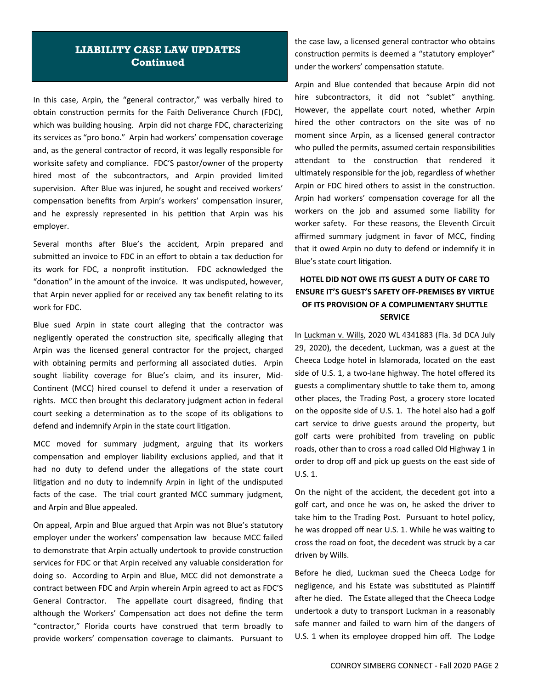## **LIABILITY CASE LAW UPDATES Continued**

In this case, Arpin, the "general contractor," was verbally hired to obtain construction permits for the Faith Deliverance Church (FDC), which was building housing. Arpin did not charge FDC, characterizing its services as "pro bono." Arpin had workers' compensation coverage and, as the general contractor of record, it was legally responsible for worksite safety and compliance. FDC'S pastor/owner of the property hired most of the subcontractors, and Arpin provided limited supervision. After Blue was injured, he sought and received workers' compensation benefits from Arpin's workers' compensation insurer, and he expressly represented in his petition that Arpin was his employer.

Several months after Blue's the accident, Arpin prepared and submitted an invoice to FDC in an effort to obtain a tax deduction for its work for FDC, a nonprofit institution. FDC acknowledged the "donation" in the amount of the invoice. It was undisputed, however, that Arpin never applied for or received any tax benefit relating to its work for FDC.

Blue sued Arpin in state court alleging that the contractor was negligently operated the construction site, specifically alleging that Arpin was the licensed general contractor for the project, charged with obtaining permits and performing all associated duties. Arpin sought liability coverage for Blue's claim, and its insurer, Mid-Continent (MCC) hired counsel to defend it under a reservation of rights. MCC then brought this declaratory judgment action in federal court seeking a determination as to the scope of its obligations to defend and indemnify Arpin in the state court litigation.

MCC moved for summary judgment, arguing that its workers compensation and employer liability exclusions applied, and that it had no duty to defend under the allegations of the state court litigation and no duty to indemnify Arpin in light of the undisputed facts of the case. The trial court granted MCC summary judgment, and Arpin and Blue appealed.

On appeal, Arpin and Blue argued that Arpin was not Blue's statutory employer under the workers' compensation law because MCC failed to demonstrate that Arpin actually undertook to provide construction services for FDC or that Arpin received any valuable consideration for doing so. According to Arpin and Blue, MCC did not demonstrate a contract between FDC and Arpin wherein Arpin agreed to act as FDC'S General Contractor. The appellate court disagreed, finding that although the Workers' Compensation act does not define the term "contractor," Florida courts have construed that term broadly to provide workers' compensation coverage to claimants. Pursuant to the case law, a licensed general contractor who obtains construction permits is deemed a "statutory employer" under the workers' compensation statute.

Arpin and Blue contended that because Arpin did not hire subcontractors, it did not "sublet" anything. However, the appellate court noted, whether Arpin hired the other contractors on the site was of no moment since Arpin, as a licensed general contractor who pulled the permits, assumed certain responsibilities attendant to the construction that rendered it ultimately responsible for the job, regardless of whether Arpin or FDC hired others to assist in the construction. Arpin had workers' compensation coverage for all the workers on the job and assumed some liability for worker safety. For these reasons, the Eleventh Circuit affirmed summary judgment in favor of MCC, finding that it owed Arpin no duty to defend or indemnify it in Blue's state court litigation.

## **HOTEL DID NOT OWE ITS GUEST A DUTY OF CARE TO ENSURE IT'S GUEST'S SAFETY OFF‐PREMISES BY VIRTUE OF ITS PROVISION OF A COMPLIMENTARY SHUTTLE SERVICE**

In Luckman v. Wills, 2020 WL 4341883 (Fla. 3d DCA July 29, 2020), the decedent, Luckman, was a guest at the Cheeca Lodge hotel in Islamorada, located on the east side of U.S. 1, a two-lane highway. The hotel offered its guests a complimentary shuttle to take them to, among other places, the Trading Post, a grocery store located on the opposite side of U.S. 1. The hotel also had a golf cart service to drive guests around the property, but golf carts were prohibited from traveling on public roads, other than to cross a road called Old Highway 1 in order to drop off and pick up guests on the east side of U.S. 1.

On the night of the accident, the decedent got into a golf cart, and once he was on, he asked the driver to take him to the Trading Post. Pursuant to hotel policy, he was dropped off near U.S. 1. While he was waiting to cross the road on foot, the decedent was struck by a car driven by Wills.

Before he died, Luckman sued the Cheeca Lodge for negligence, and his Estate was substituted as Plaintiff after he died. The Estate alleged that the Cheeca Lodge undertook a duty to transport Luckman in a reasonably safe manner and failed to warn him of the dangers of U.S. 1 when its employee dropped him off. The Lodge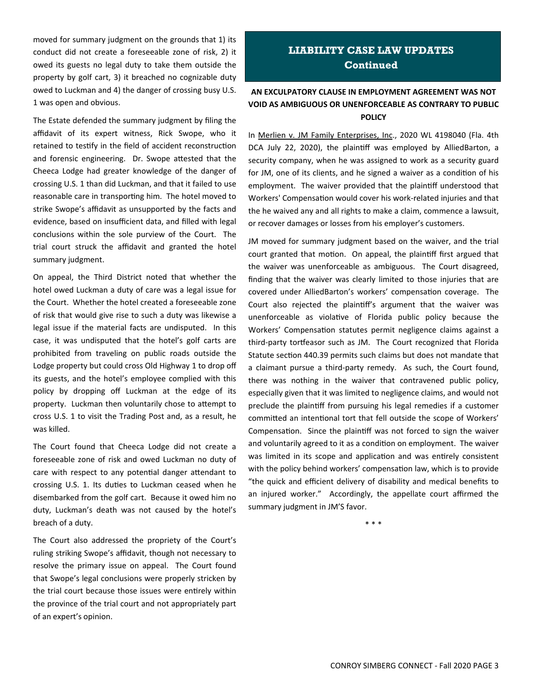moved for summary judgment on the grounds that 1) its conduct did not create a foreseeable zone of risk, 2) it owed its guests no legal duty to take them outside the property by golf cart, 3) it breached no cognizable duty owed to Luckman and 4) the danger of crossing busy U.S. 1 was open and obvious.

The Estate defended the summary judgment by filing the affidavit of its expert witness, Rick Swope, who it retained to testify in the field of accident reconstruction and forensic engineering. Dr. Swope attested that the Cheeca Lodge had greater knowledge of the danger of crossing U.S. 1 than did Luckman, and that it failed to use reasonable care in transporting him. The hotel moved to strike Swope's affidavit as unsupported by the facts and evidence, based on insufficient data, and filled with legal conclusions within the sole purview of the Court. The trial court struck the affidavit and granted the hotel summary judgment.

On appeal, the Third District noted that whether the hotel owed Luckman a duty of care was a legal issue for the Court. Whether the hotel created a foreseeable zone of risk that would give rise to such a duty was likewise a legal issue if the material facts are undisputed. In this case, it was undisputed that the hotel's golf carts are prohibited from traveling on public roads outside the Lodge property but could cross Old Highway 1 to drop off its guests, and the hotel's employee complied with this policy by dropping off Luckman at the edge of its property. Luckman then voluntarily chose to attempt to cross U.S. 1 to visit the Trading Post and, as a result, he was killed.

The Court found that Cheeca Lodge did not create a foreseeable zone of risk and owed Luckman no duty of care with respect to any potential danger attendant to crossing U.S. 1. Its duties to Luckman ceased when he disembarked from the golf cart. Because it owed him no duty, Luckman's death was not caused by the hotel's breach of a duty.

The Court also addressed the propriety of the Court's ruling striking Swope's affidavit, though not necessary to resolve the primary issue on appeal. The Court found that Swope's legal conclusions were properly stricken by the trial court because those issues were entirely within the province of the trial court and not appropriately part of an expert's opinion.

## **LIABILITY CASE LAW UPDATES Continued**

## **AN EXCULPATORY CLAUSE IN EMPLOYMENT AGREEMENT WAS NOT VOID AS AMBIGUOUS OR UNENFORCEABLE AS CONTRARY TO PUBLIC POLICY**

In Merlien v. JM Family Enterprises, Inc., 2020 WL 4198040 (Fla. 4th DCA July 22, 2020), the plaintiff was employed by AlliedBarton, a security company, when he was assigned to work as a security guard for JM, one of its clients, and he signed a waiver as a condition of his employment. The waiver provided that the plaintiff understood that Workers' Compensation would cover his work-related injuries and that the he waived any and all rights to make a claim, commence a lawsuit, or recover damages or losses from his employer's customers.

JM moved for summary judgment based on the waiver, and the trial court granted that motion. On appeal, the plaintiff first argued that the waiver was unenforceable as ambiguous. The Court disagreed, finding that the waiver was clearly limited to those injuries that are covered under AlliedBarton's workers' compensation coverage. The Court also rejected the plaintiff's argument that the waiver was unenforceable as violative of Florida public policy because the Workers' Compensation statutes permit negligence claims against a third-party tortfeasor such as JM. The Court recognized that Florida Statute section 440.39 permits such claims but does not mandate that a claimant pursue a third-party remedy. As such, the Court found, there was nothing in the waiver that contravened public policy, especially given that it was limited to negligence claims, and would not preclude the plaintiff from pursuing his legal remedies if a customer committed an intentional tort that fell outside the scope of Workers' Compensation. Since the plaintiff was not forced to sign the waiver and voluntarily agreed to it as a condition on employment. The waiver was limited in its scope and application and was entirely consistent with the policy behind workers' compensation law, which is to provide "the quick and efficient delivery of disability and medical benefits to an injured worker." Accordingly, the appellate court affirmed the summary judgment in JM'S favor.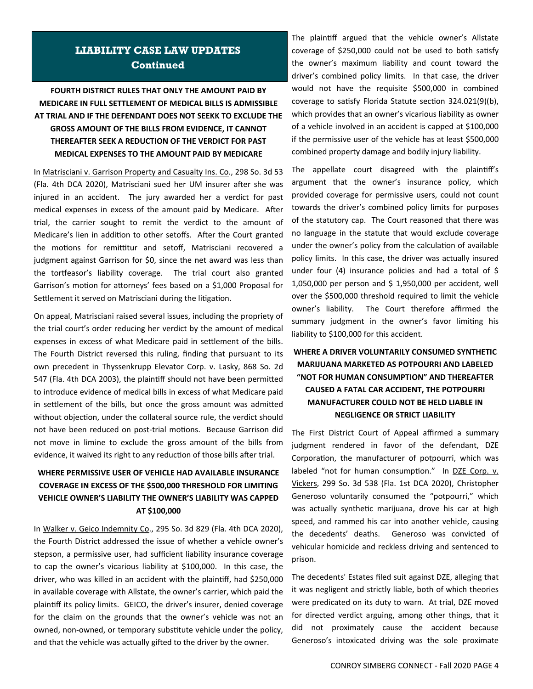## **LIABILITY CASE LAW UPDATES Continued**

## **FOURTH DISTRICT RULES THAT ONLY THE AMOUNT PAID BY MEDICARE IN FULL SETTLEMENT OF MEDICAL BILLS IS ADMISSIBLE AT TRIAL AND IF THE DEFENDANT DOES NOT SEEKK TO EXCLUDE THE GROSS AMOUNT OF THE BILLS FROM EVIDENCE, IT CANNOT THEREAFTER SEEK A REDUCTION OF THE VERDICT FOR PAST MEDICAL EXPENSES TO THE AMOUNT PAID BY MEDICARE**

In Matrisciani v. Garrison Property and Casualty Ins. Co., 298 So. 3d 53 (Fla. 4th DCA 2020), Matrisciani sued her UM insurer after she was injured in an accident. The jury awarded her a verdict for past medical expenses in excess of the amount paid by Medicare. After trial, the carrier sought to remit the verdict to the amount of Medicare's lien in addition to other setoffs. After the Court granted the motions for remittitur and setoff, Matrisciani recovered a judgment against Garrison for \$0, since the net award was less than the tortfeasor's liability coverage. The trial court also granted Garrison's motion for attorneys' fees based on a \$1,000 Proposal for Settlement it served on Matrisciani during the litigation.

On appeal, Matrisciani raised several issues, including the propriety of the trial court's order reducing her verdict by the amount of medical expenses in excess of what Medicare paid in settlement of the bills. The Fourth District reversed this ruling, finding that pursuant to its own precedent in Thyssenkrupp Elevator Corp. v. Lasky, 868 So. 2d 547 (Fla. 4th DCA 2003), the plaintiff should not have been permitted to introduce evidence of medical bills in excess of what Medicare paid in settlement of the bills, but once the gross amount was admitted without objection, under the collateral source rule, the verdict should not have been reduced on post-trial motions. Because Garrison did not move in limine to exclude the gross amount of the bills from evidence, it waived its right to any reduction of those bills after trial.

## **WHERE PERMISSIVE USER OF VEHICLE HAD AVAILABLE INSURANCE COVERAGE IN EXCESS OF THE \$500,000 THRESHOLD FOR LIMITING VEHICLE OWNER'S LIABILITY THE OWNER'S LIABILITY WAS CAPPED AT \$100,000**

In Walker v. Geico Indemnity Co., 295 So. 3d 829 (Fla. 4th DCA 2020), the Fourth District addressed the issue of whether a vehicle owner's stepson, a permissive user, had sufficient liability insurance coverage to cap the owner's vicarious liability at \$100,000. In this case, the driver, who was killed in an accident with the plaintiff, had \$250,000 in available coverage with Allstate, the owner's carrier, which paid the plaintiff its policy limits. GEICO, the driver's insurer, denied coverage for the claim on the grounds that the owner's vehicle was not an owned, non-owned, or temporary substitute vehicle under the policy, and that the vehicle was actually gifted to the driver by the owner.

The plaintiff argued that the vehicle owner's Allstate coverage of \$250,000 could not be used to both satisfy the owner's maximum liability and count toward the driver's combined policy limits. In that case, the driver would not have the requisite \$500,000 in combined coverage to satisfy Florida Statute section 324.021(9)(b), which provides that an owner's vicarious liability as owner of a vehicle involved in an accident is capped at \$100,000 if the permissive user of the vehicle has at least \$500,000 combined property damage and bodily injury liability.

The appellate court disagreed with the plaintiff's argument that the owner's insurance policy, which provided coverage for permissive users, could not count towards the driver's combined policy limits for purposes of the statutory cap. The Court reasoned that there was no language in the statute that would exclude coverage under the owner's policy from the calculation of available policy limits. In this case, the driver was actually insured under four (4) insurance policies and had a total of \$ 1,050,000 per person and \$ 1,950,000 per accident, well over the \$500,000 threshold required to limit the vehicle owner's liability. The Court therefore affirmed the summary judgment in the owner's favor limiting his liability to \$100,000 for this accident.

## **WHERE A DRIVER VOLUNTARILY CONSUMED SYNTHETIC MARIJUANA MARKETED AS POTPOURRI AND LABELED "NOT FOR HUMAN CONSUMPTION" AND THEREAFTER CAUSED A FATAL CAR ACCIDENT, THE POTPOURRI MANUFACTURER COULD NOT BE HELD LIABLE IN NEGLIGENCE OR STRICT LIABILITY**

The First District Court of Appeal affirmed a summary judgment rendered in favor of the defendant, DZE Corporation, the manufacturer of potpourri, which was labeled "not for human consumption." In DZE Corp. v. Vickers, 299 So. 3d 538 (Fla. 1st DCA 2020), Christopher Generoso voluntarily consumed the "potpourri," which was actually synthetic marijuana, drove his car at high speed, and rammed his car into another vehicle, causing the decedents' deaths. Generoso was convicted of vehicular homicide and reckless driving and sentenced to prison.

The decedents' Estates filed suit against DZE, alleging that it was negligent and strictly liable, both of which theories were predicated on its duty to warn. At trial, DZE moved for directed verdict arguing, among other things, that it did not proximately cause the accident because Generoso's intoxicated driving was the sole proximate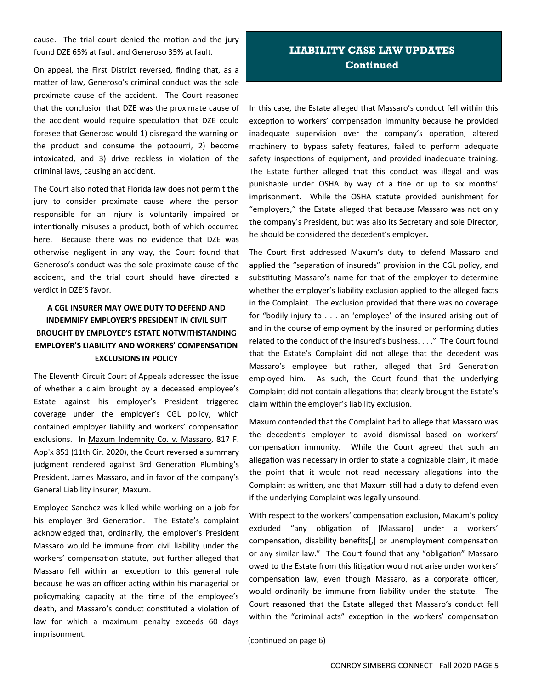cause. The trial court denied the motion and the jury found DZE 65% at fault and Generoso 35% at fault.

On appeal, the First District reversed, finding that, as a matter of law, Generoso's criminal conduct was the sole proximate cause of the accident. The Court reasoned that the conclusion that DZE was the proximate cause of the accident would require speculation that DZE could foresee that Generoso would 1) disregard the warning on the product and consume the potpourri, 2) become intoxicated, and 3) drive reckless in violation of the criminal laws, causing an accident.

The Court also noted that Florida law does not permit the jury to consider proximate cause where the person responsible for an injury is voluntarily impaired or intentionally misuses a product, both of which occurred here. Because there was no evidence that DZE was otherwise negligent in any way, the Court found that Generoso's conduct was the sole proximate cause of the accident, and the trial court should have directed a verdict in DZE'S favor.

## **A CGL INSURER MAY OWE DUTY TO DEFEND AND INDEMNIFY EMPLOYER'S PRESIDENT IN CIVIL SUIT BROUGHT BY EMPLOYEE'S ESTATE NOTWITHSTANDING EMPLOYER'S LIABILITY AND WORKERS' COMPENSATION EXCLUSIONS IN POLICY**

The Eleventh Circuit Court of Appeals addressed the issue of whether a claim brought by a deceased employee's Estate against his employer's President triggered coverage under the employer's CGL policy, which contained employer liability and workers' compensation exclusions. In Maxum Indemnity Co. v. Massaro, 817 F. App'x 851 (11th Cir. 2020), the Court reversed a summary judgment rendered against 3rd Generation Plumbing's President, James Massaro, and in favor of the company's General Liability insurer, Maxum.

Employee Sanchez was killed while working on a job for his employer 3rd Generation. The Estate's complaint acknowledged that, ordinarily, the employer's President Massaro would be immune from civil liability under the workers' compensation statute, but further alleged that Massaro fell within an exception to this general rule because he was an officer acting within his managerial or policymaking capacity at the time of the employee's death, and Massaro's conduct constituted a violation of law for which a maximum penalty exceeds 60 days imprisonment.

## **LIABILITY CASE LAW UPDATES Continued**

In this case, the Estate alleged that Massaro's conduct fell within this exception to workers' compensation immunity because he provided inadequate supervision over the company's operation, altered machinery to bypass safety features, failed to perform adequate safety inspections of equipment, and provided inadequate training. The Estate further alleged that this conduct was illegal and was punishable under OSHA by way of a fine or up to six months' imprisonment. While the OSHA statute provided punishment for "employers," the Estate alleged that because Massaro was not only the company's President, but was also its Secretary and sole Director, he should be considered the decedent's employer**.** 

The Court first addressed Maxum's duty to defend Massaro and applied the "separation of insureds" provision in the CGL policy, and substituting Massaro's name for that of the employer to determine whether the employer's liability exclusion applied to the alleged facts in the Complaint. The exclusion provided that there was no coverage for "bodily injury to . . . an 'employee' of the insured arising out of and in the course of employment by the insured or performing duties related to the conduct of the insured's business. . . ." The Court found that the Estate's Complaint did not allege that the decedent was Massaro's employee but rather, alleged that 3rd Generation employed him. As such, the Court found that the underlying Complaint did not contain allegations that clearly brought the Estate's claim within the employer's liability exclusion.

Maxum contended that the Complaint had to allege that Massaro was the decedent's employer to avoid dismissal based on workers' compensation immunity. While the Court agreed that such an allegation was necessary in order to state a cognizable claim, it made the point that it would not read necessary allegations into the Complaint as written, and that Maxum still had a duty to defend even if the underlying Complaint was legally unsound.

With respect to the workers' compensation exclusion, Maxum's policy excluded "any obligation of [Massaro] under a workers' compensation, disability benefits[,] or unemployment compensation or any similar law." The Court found that any "obligation" Massaro owed to the Estate from this litigation would not arise under workers' compensation law, even though Massaro, as a corporate officer, would ordinarily be immune from liability under the statute. The Court reasoned that the Estate alleged that Massaro's conduct fell within the "criminal acts" exception in the workers' compensation

(continued on page 6)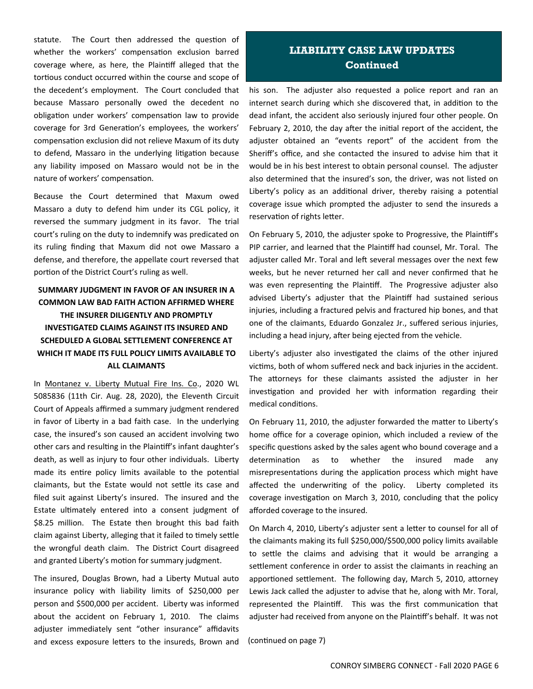statute. The Court then addressed the question of whether the workers' compensation exclusion barred coverage where, as here, the Plaintiff alleged that the tortious conduct occurred within the course and scope of the decedent's employment. The Court concluded that because Massaro personally owed the decedent no obligation under workers' compensation law to provide coverage for 3rd Generation's employees, the workers' compensation exclusion did not relieve Maxum of its duty to defend, Massaro in the underlying litigation because any liability imposed on Massaro would not be in the nature of workers' compensation.

Because the Court determined that Maxum owed Massaro a duty to defend him under its CGL policy, it reversed the summary judgment in its favor. The trial court's ruling on the duty to indemnify was predicated on its ruling finding that Maxum did not owe Massaro a defense, and therefore, the appellate court reversed that portion of the District Court's ruling as well.

## **SUMMARY JUDGMENT IN FAVOR OF AN INSURER IN A COMMON LAW BAD FAITH ACTION AFFIRMED WHERE THE INSURER DILIGENTLY AND PROMPTLY INVESTIGATED CLAIMS AGAINST ITS INSURED AND SCHEDULED A GLOBAL SETTLEMENT CONFERENCE AT WHICH IT MADE ITS FULL POLICY LIMITS AVAILABLE TO ALL CLAIMANTS**

In Montanez v. Liberty Mutual Fire Ins. Co., 2020 WL 5085836 (11th Cir. Aug. 28, 2020), the Eleventh Circuit Court of Appeals affirmed a summary judgment rendered in favor of Liberty in a bad faith case. In the underlying case, the insured's son caused an accident involving two other cars and resulting in the Plaintiff's infant daughter's death, as well as injury to four other individuals. Liberty made its entire policy limits available to the potential claimants, but the Estate would not settle its case and filed suit against Liberty's insured. The insured and the Estate ultimately entered into a consent judgment of \$8.25 million. The Estate then brought this bad faith claim against Liberty, alleging that it failed to timely settle the wrongful death claim. The District Court disagreed and granted Liberty's motion for summary judgment.

The insured, Douglas Brown, had a Liberty Mutual auto insurance policy with liability limits of \$250,000 per person and \$500,000 per accident. Liberty was informed about the accident on February 1, 2010. The claims adjuster immediately sent "other insurance" affidavits and excess exposure letters to the insureds, Brown and

## **LIABILITY CASE LAW UPDATES Continued**

his son. The adjuster also requested a police report and ran an internet search during which she discovered that, in addition to the dead infant, the accident also seriously injured four other people. On February 2, 2010, the day after the initial report of the accident, the adjuster obtained an "events report" of the accident from the Sheriff's office, and she contacted the insured to advise him that it would be in his best interest to obtain personal counsel. The adjuster also determined that the insured's son, the driver, was not listed on Liberty's policy as an additional driver, thereby raising a potential coverage issue which prompted the adjuster to send the insureds a reservation of rights letter.

On February 5, 2010, the adjuster spoke to Progressive, the Plaintiff's PIP carrier, and learned that the Plaintiff had counsel, Mr. Toral. The adjuster called Mr. Toral and left several messages over the next few weeks, but he never returned her call and never confirmed that he was even representing the Plaintiff. The Progressive adjuster also advised Liberty's adjuster that the Plaintiff had sustained serious injuries, including a fractured pelvis and fractured hip bones, and that one of the claimants, Eduardo Gonzalez Jr., suffered serious injuries, including a head injury, after being ejected from the vehicle.

Liberty's adjuster also investigated the claims of the other injured victims, both of whom suffered neck and back injuries in the accident. The attorneys for these claimants assisted the adjuster in her investigation and provided her with information regarding their medical conditions.

On February 11, 2010, the adjuster forwarded the matter to Liberty's home office for a coverage opinion, which included a review of the specific questions asked by the sales agent who bound coverage and a determination as to whether the insured made any misrepresentations during the application process which might have affected the underwriting of the policy. Liberty completed its coverage investigation on March 3, 2010, concluding that the policy afforded coverage to the insured.

On March 4, 2010, Liberty's adjuster sent a letter to counsel for all of the claimants making its full \$250,000/\$500,000 policy limits available to settle the claims and advising that it would be arranging a settlement conference in order to assist the claimants in reaching an apportioned settlement. The following day, March 5, 2010, attorney Lewis Jack called the adjuster to advise that he, along with Mr. Toral, represented the Plaintiff. This was the first communication that adjuster had received from anyone on the Plaintiff's behalf. It was not

(continued on page 7)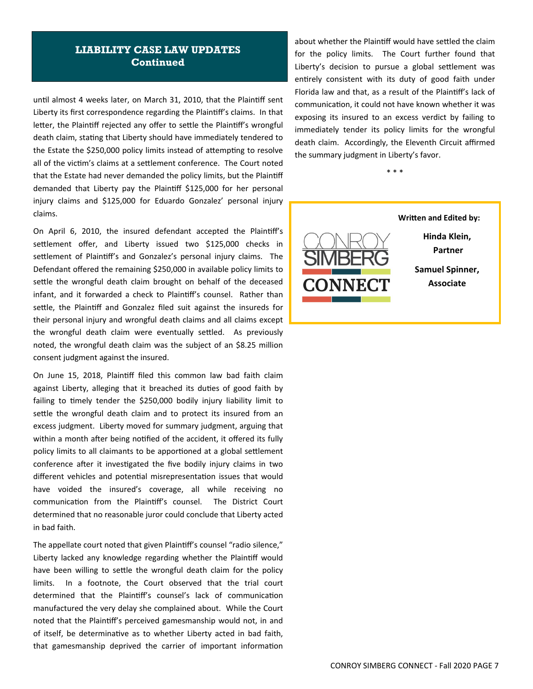## **LIABILITY CASE LAW UPDATES Continued**

until almost 4 weeks later, on March 31, 2010, that the Plaintiff sent Liberty its first correspondence regarding the Plaintiff's claims. In that letter, the Plaintiff rejected any offer to settle the Plaintiff's wrongful death claim, stating that Liberty should have immediately tendered to the Estate the \$250,000 policy limits instead of attempting to resolve all of the victim's claims at a settlement conference. The Court noted that the Estate had never demanded the policy limits, but the Plaintiff demanded that Liberty pay the Plaintiff \$125,000 for her personal injury claims and \$125,000 for Eduardo Gonzalez' personal injury claims.

On April 6, 2010, the insured defendant accepted the Plaintiff's settlement offer, and Liberty issued two \$125,000 checks in settlement of Plaintiff's and Gonzalez's personal injury claims. The Defendant offered the remaining \$250,000 in available policy limits to settle the wrongful death claim brought on behalf of the deceased infant, and it forwarded a check to Plaintiff's counsel. Rather than settle, the Plaintiff and Gonzalez filed suit against the insureds for their personal injury and wrongful death claims and all claims except the wrongful death claim were eventually settled. As previously noted, the wrongful death claim was the subject of an \$8.25 million consent judgment against the insured.

On June 15, 2018, Plaintiff filed this common law bad faith claim against Liberty, alleging that it breached its duties of good faith by failing to timely tender the \$250,000 bodily injury liability limit to settle the wrongful death claim and to protect its insured from an excess judgment. Liberty moved for summary judgment, arguing that within a month after being notified of the accident, it offered its fully policy limits to all claimants to be apportioned at a global settlement conference after it investigated the five bodily injury claims in two different vehicles and potential misrepresentation issues that would have voided the insured's coverage, all while receiving no communication from the Plaintiff's counsel. The District Court determined that no reasonable juror could conclude that Liberty acted in bad faith.

The appellate court noted that given Plaintiff's counsel "radio silence," Liberty lacked any knowledge regarding whether the Plaintiff would have been willing to settle the wrongful death claim for the policy limits. In a footnote, the Court observed that the trial court determined that the Plaintiff's counsel's lack of communication manufactured the very delay she complained about. While the Court noted that the Plaintiff's perceived gamesmanship would not, in and of itself, be determinative as to whether Liberty acted in bad faith, that gamesmanship deprived the carrier of important information about whether the Plaintiff would have settled the claim for the policy limits. The Court further found that Liberty's decision to pursue a global settlement was entirely consistent with its duty of good faith under Florida law and that, as a result of the Plaintiff's lack of communication, it could not have known whether it was exposing its insured to an excess verdict by failing to immediately tender its policy limits for the wrongful death claim. Accordingly, the Eleventh Circuit affirmed the summary judgment in Liberty's favor.

\* \* \*



**Hinda Klein, Partner Samuel Spinner, Associate**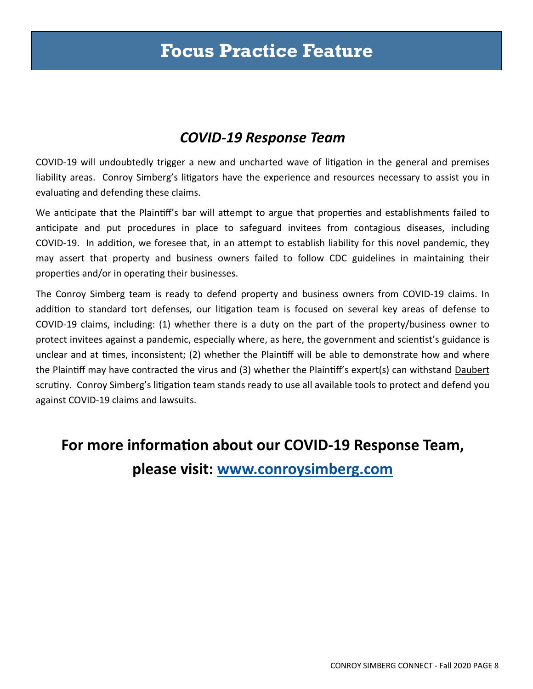# **Focus Practice Feature**

# *COVID‐19 Response Team*

COVID-19 will undoubtedly trigger a new and uncharted wave of litigation in the general and premises liability areas. Conroy Simberg's litigators have the experience and resources necessary to assist you in evaluating and defending these claims.

We anticipate that the Plaintiff's bar will attempt to argue that properties and establishments failed to anticipate and put procedures in place to safeguard invitees from contagious diseases, including COVID-19. In addition, we foresee that, in an attempt to establish liability for this novel pandemic, they may assert that property and business owners failed to follow CDC guidelines in maintaining their properties and/or in operating their businesses.

The Conroy Simberg team is ready to defend property and business owners from COVID‐19 claims. In addition to standard tort defenses, our litigation team is focused on several key areas of defense to COVID‐19 claims, including: (1) whether there is a duty on the part of the property/business owner to protect invitees against a pandemic, especially where, as here, the government and scientist's guidance is unclear and at times, inconsistent; (2) whether the Plaintiff will be able to demonstrate how and where the PlainƟff may have contracted the virus and (3) whether the PlainƟff's expert(s) can withstand Daubert scrutiny. Conroy Simberg's litigation team stands ready to use all available tools to protect and defend you against COVID‐19 claims and lawsuits.

# **For more informaƟon about our COVID‐19 Response Team, please visit: www.conroysimberg.com**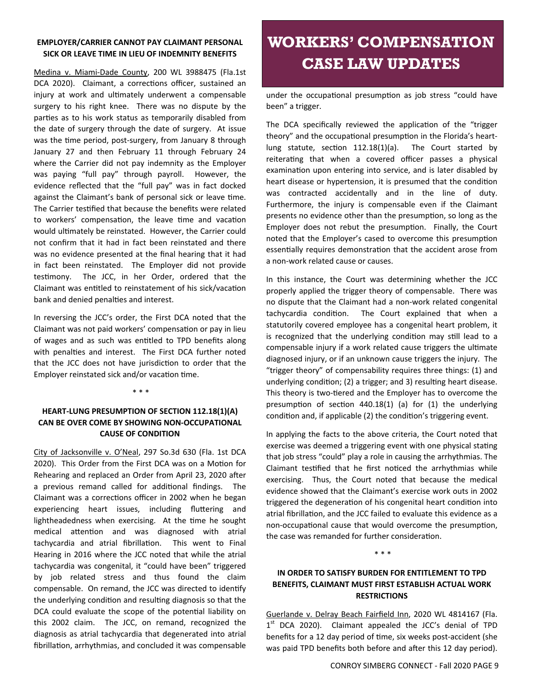### **EMPLOYER/CARRIER CANNOT PAY CLAIMANT PERSONAL SICK OR LEAVE TIME IN LIEU OF INDEMNITY BENEFITS**

Medina v. Miami‐Dade County, 200 WL 3988475 (Fla.1st DCA 2020). Claimant, a corrections officer, sustained an injury at work and ultimately underwent a compensable surgery to his right knee. There was no dispute by the parties as to his work status as temporarily disabled from the date of surgery through the date of surgery. At issue was the time period, post-surgery, from January 8 through January 27 and then February 11 through February 24 where the Carrier did not pay indemnity as the Employer was paying "full pay" through payroll. However, the evidence reflected that the "full pay" was in fact docked against the Claimant's bank of personal sick or leave time. The Carrier testified that because the benefits were related to workers' compensation, the leave time and vacation would ultimately be reinstated. However, the Carrier could not confirm that it had in fact been reinstated and there was no evidence presented at the final hearing that it had in fact been reinstated. The Employer did not provide testimony. The JCC, in her Order, ordered that the Claimant was entitled to reinstatement of his sick/vacation bank and denied penalties and interest.

In reversing the JCC's order, the First DCA noted that the Claimant was not paid workers' compensation or pay in lieu of wages and as such was entitled to TPD benefits along with penalties and interest. The First DCA further noted that the JCC does not have jurisdiction to order that the Employer reinstated sick and/or vacation time.

\* \* \*

### **HEART‐LUNG PRESUMPTION OF SECTION 112.18(1)(A) CAN BE OVER COME BY SHOWING NON‐OCCUPATIONAL CAUSE OF CONDITION**

City of Jacksonville v. O'Neal, 297 So.3d 630 (Fla. 1st DCA 2020). This Order from the First DCA was on a Motion for Rehearing and replaced an Order from April 23, 2020 after a previous remand called for additional findings. The Claimant was a corrections officer in 2002 when he began experiencing heart issues, including fluttering and lightheadedness when exercising. At the time he sought medical attention and was diagnosed with atrial tachycardia and atrial fibrillation. This went to Final Hearing in 2016 where the JCC noted that while the atrial tachycardia was congenital, it "could have been" triggered by job related stress and thus found the claim compensable. On remand, the JCC was directed to identify the underlying condition and resulting diagnosis so that the DCA could evaluate the scope of the potential liability on this 2002 claim. The JCC, on remand, recognized the diagnosis as atrial tachycardia that degenerated into atrial fibrillation, arrhythmias, and concluded it was compensable

# **WORKERS' COMPENSATION CASE LAW UPDATES**

under the occupational presumption as job stress "could have been" a trigger.

The DCA specifically reviewed the application of the "trigger theory" and the occupational presumption in the Florida's heartlung statute, section  $112.18(1)(a)$ . The Court started by reiterating that when a covered officer passes a physical examination upon entering into service, and is later disabled by heart disease or hypertension, it is presumed that the condition was contracted accidentally and in the line of duty. Furthermore, the injury is compensable even if the Claimant presents no evidence other than the presumption, so long as the Employer does not rebut the presumption. Finally, the Court noted that the Employer's cased to overcome this presumption essentially requires demonstration that the accident arose from a non‐work related cause or causes.

In this instance, the Court was determining whether the JCC properly applied the trigger theory of compensable. There was no dispute that the Claimant had a non‐work related congenital tachycardia condition. The Court explained that when a statutorily covered employee has a congenital heart problem, it is recognized that the underlying condition may still lead to a compensable injury if a work related cause triggers the ultimate diagnosed injury, or if an unknown cause triggers the injury. The "trigger theory" of compensability requires three things: (1) and underlying condition; (2) a trigger; and 3) resulting heart disease. This theory is two-tiered and the Employer has to overcome the presumption of section  $440.18(1)$  (a) for (1) the underlying condition and, if applicable (2) the condition's triggering event.

In applying the facts to the above criteria, the Court noted that exercise was deemed a triggering event with one physical stating that job stress "could" play a role in causing the arrhythmias. The Claimant testified that he first noticed the arrhythmias while exercising. Thus, the Court noted that because the medical evidence showed that the Claimant's exercise work outs in 2002 triggered the degeneration of his congenital heart condition into atrial fibrillation, and the JCC failed to evaluate this evidence as a non-occupational cause that would overcome the presumption, the case was remanded for further consideration.

#### \* \* \*

## **IN ORDER TO SATISFY BURDEN FOR ENTITLEMENT TO TPD BENEFITS, CLAIMANT MUST FIRST ESTABLISH ACTUAL WORK RESTRICTIONS**

Guerlande v. Delray Beach Fairfield Inn, 2020 WL 4814167 (Fla.  $1<sup>st</sup>$  DCA 2020). Claimant appealed the JCC's denial of TPD benefits for a 12 day period of time, six weeks post-accident (she was paid TPD benefits both before and after this 12 day period).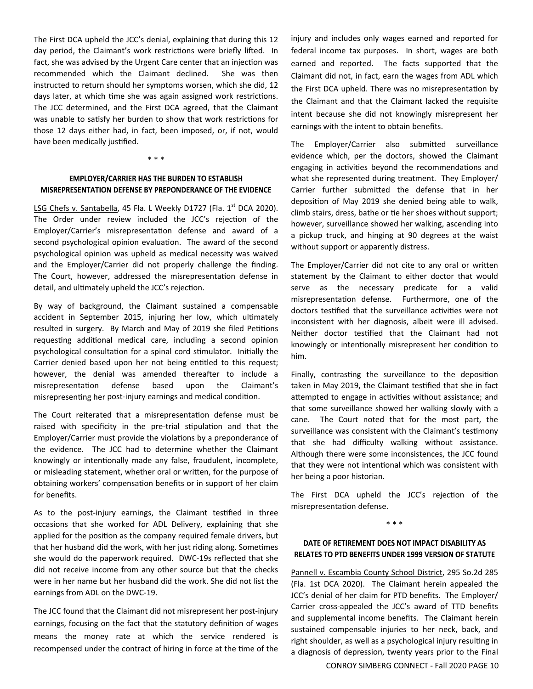The First Berv aphela the see 3 definit, explaining that damig this 12<br>day period, the Claimant's work restrictions were briefly lifted. In ady period, the claimant *5* work restrictions were sheny miced. In<br>fact, she was advised by the Urgent Care center that an injection was The First DCA upheld the JCC's denial, explaining that during this 12 recommended which the Claimant declined. She was then instructed to return should her symptoms worsen, which she did, 12 days later, at which time she was again assigned work restrictions. The JCC determined, and the First DCA agreed, that the Claimant was unable to satisfy her burden to show that work restrictions for those 12 days either had, in fact, been imposed, or, if not, would have been medically justified.

#### **EMPLOYER/CARRIER HAS THE BURDEN TO ESTABLISH** MISREPRESENTATION DEFENSE BY PREPONDERANCE OF THE EVIDENCE

\* \* \*

LSG Chefs v. Santabella, 45 Fla. L Weekly D1727 (Fla. 1<sup>st</sup> DCA 2020). The Order under review included the JCC's rejection of the Employer/Carrier's misrepresentation defense and award of a second psychological opinion evaluation. The award of the second psychological opinion was upheld as medical necessity was waived and the Employer/Carrier did not properly challenge the finding. The Court, however, addressed the misrepresentation defense in detail, and ultimately upheld the JCC's rejection.

By way of background, the Claimant sustained a compensable accident in September 2015, injuring her low, which ultimately resulted in surgery. By March and May of 2019 she filed Petitions requesting additional medical care, including a second opinion psychological consultation for a spinal cord stimulator. Initially the Carrier denied based upon her not being entitled to this request; however, the denial was amended thereafter to include a misrepresentation defense based upon the Claimant's misrepresenting her post-injury earnings and medical condition.

The Court reiterated that a misrepresentation defense must be raised with specificity in the pre-trial stipulation and that the Employer/Carrier must provide the violations by a preponderance of the evidence. The JCC had to determine whether the Claimant knowingly or intentionally made any false, fraudulent, incomplete, or misleading statement, whether oral or written, for the purpose of obtaining workers' compensation benefits or in support of her claim for benefits.

As to the post-injury earnings, the Claimant testified in three occasions that she worked for ADL Delivery, explaining that she applied for the position as the company required female drivers, but that her husband did the work, with her just riding along. Sometimes she would do the paperwork required. DWC‐19s reflected that she did not receive income from any other source but that the checks were in her name but her husband did the work. She did not list the earnings from ADL on the DWC‐19.

The JCC found that the Claimant did not misrepresent her post‐injury earnings, focusing on the fact that the statutory definition of wages means the money rate at which the service rendered is recompensed under the contract of hiring in force at the time of the

injury and includes only wages earned and reported for federal income tax purposes. In short, wages are both earned and reported. The facts supported that the Claimant did not, in fact, earn the wages from ADL which the First DCA upheld. There was no misrepresentation by the Claimant and that the Claimant lacked the requisite intent because she did not knowingly misrepresent her earnings with the intent to obtain benefits.

The Employer/Carrier also submitted surveillance evidence which, per the doctors, showed the Claimant engaging in activities beyond the recommendations and what she represented during treatment. They Employer/ Carrier further submitted the defense that in her deposition of May 2019 she denied being able to walk, climb stairs, dress, bathe or tie her shoes without support; however, surveillance showed her walking, ascending into a pickup truck, and hinging at 90 degrees at the waist without support or apparently distress.

The Employer/Carrier did not cite to any oral or written statement by the Claimant to either doctor that would serve as the necessary predicate for a valid misrepresentation defense. Furthermore, one of the doctors testified that the surveillance activities were not inconsistent with her diagnosis, albeit were ill advised. Neither doctor testified that the Claimant had not knowingly or intentionally misrepresent her condition to him.

Finally, contrasting the surveillance to the deposition taken in May 2019, the Claimant testified that she in fact attempted to engage in activities without assistance; and that some surveillance showed her walking slowly with a cane. The Court noted that for the most part, the surveillance was consistent with the Claimant's testimony that she had difficulty walking without assistance. Although there were some inconsistences, the JCC found that they were not intentional which was consistent with her being a poor historian.

The First DCA upheld the JCC's rejection of the misrepresentation defense.

#### \* \* \*

#### DATE OF RETIREMENT DOES NOT IMPACT DISABILITY AS RELATES TO PTD BENEFITS UNDER 1999 VERSION OF STATUTE

Pannell v. Escambia County School District, 295 So.2d 285 (Fla. 1st DCA 2020). The Claimant herein appealed the JCC's denial of her claim for PTD benefits. The Employer/ Carrier cross‐appealed the JCC's award of TTD benefits and supplemental income benefits. The Claimant herein sustained compensable injuries to her neck, back, and right shoulder, as well as a psychological injury resulting in a diagnosis of depression, twenty years prior to the Final

CONROY SIMBERG CONNECT ‐ Fall 2020 PAGE 10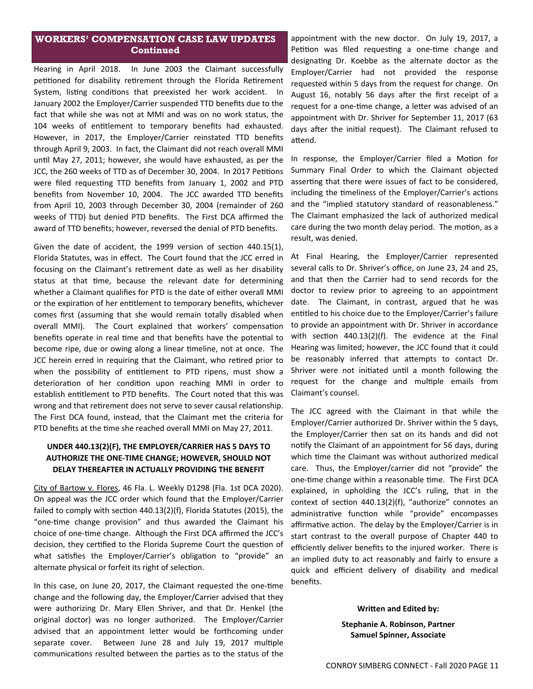### **WORKERS' COMPENSATION CASE LAW UPDATES Continued**

Hearing in April 2018. In June 2003 the Claimant successfully petitioned for disability retirement through the Florida Retirement System, listing conditions that preexisted her work accident. In January 2002 the Employer/Carrier suspended TTD benefits due to the fact that while she was not at MMI and was on no work status, the 104 weeks of entitlement to temporary benefits had exhausted. However, in 2017, the Employer/Carrier reinstated TTD benefits through April 9, 2003. In fact, the Claimant did not reach overall MMI until May 27, 2011; however, she would have exhausted, as per the JCC, the 260 weeks of TTD as of December 30, 2004. In 2017 Petitions were filed requesting TTD benefits from January 1, 2002 and PTD benefits from November 10, 2004. The JCC awarded TTD benefits from April 10, 2003 through December 30, 2004 (remainder of 260 weeks of TTD) but denied PTD benefits. The First DCA affirmed the award of TTD benefits; however, reversed the denial of PTD benefits.

Given the date of accident, the 1999 version of section 440.15(1), Florida Statutes, was in effect. The Court found that the JCC erred in focusing on the Claimant's retirement date as well as her disability status at that time, because the relevant date for determining whether a Claimant qualifies for PTD is the date of either overall MMI or the expiration of her entitlement to temporary benefits, whichever comes first (assuming that she would remain totally disabled when overall MMI). The Court explained that workers' compensation benefits operate in real time and that benefits have the potential to become ripe, due or owing along a linear timeline, not at once. The JCC herein erred in requiring that the Claimant, who retired prior to when the possibility of entitlement to PTD ripens, must show a deterioration of her condition upon reaching MMI in order to establish entitlement to PTD benefits. The Court noted that this was wrong and that retirement does not serve to sever causal relationship. The First DCA found, instead, that the Claimant met the criteria for PTD benefits at the time she reached overall MMI on May 27, 2011.

### **UNDER 440.13(2)(F), THE EMPLOYER/CARRIER HAS 5 DAYS TO AUTHORIZE THE ONE‐TIME CHANGE; HOWEVER, SHOULD NOT DELAY THEREAFTER IN ACTUALLY PROVIDING THE BENEFIT**

City of Bartow v. Flores, 46 Fla. L. Weekly D1298 (Fla. 1st DCA 2020). On appeal was the JCC order which found that the Employer/Carrier failed to comply with section 440.13(2)(f), Florida Statutes (2015), the "one-time change provision" and thus awarded the Claimant his choice of one-time change. Although the First DCA affirmed the JCC's decision, they certified to the Florida Supreme Court the question of what satisfies the Employer/Carrier's obligation to "provide" an alternate physical or forfeit its right of selection.

In this case, on June 20, 2017, the Claimant requested the one-time change and the following day, the Employer/Carrier advised that they were authorizing Dr. Mary Ellen Shriver, and that Dr. Henkel (the original doctor) was no longer authorized. The Employer/Carrier advised that an appointment letter would be forthcoming under separate cover. Between June 28 and July 19, 2017 multiple communications resulted between the parties as to the status of the

appointment with the new doctor. On July 19, 2017, a Petition was filed requesting a one-time change and designating Dr. Koebbe as the alternate doctor as the Employer/Carrier had not provided the response requested within 5 days from the request for change. On August 16, notably 56 days after the first receipt of a request for a one-time change, a letter was advised of an appointment with Dr. Shriver for September 11, 2017 (63 days after the initial request). The Claimant refused to attend.

In response, the Employer/Carrier filed a Motion for Summary Final Order to which the Claimant objected asserting that there were issues of fact to be considered, including the timeliness of the Employer/Carrier's actions and the "implied statutory standard of reasonableness." The Claimant emphasized the lack of authorized medical care during the two month delay period. The motion, as a result, was denied.

At Final Hearing, the Employer/Carrier represented several calls to Dr. Shriver's office, on June 23, 24 and 25, and that then the Carrier had to send records for the doctor to review prior to agreeing to an appointment date. The Claimant, in contrast, argued that he was entitled to his choice due to the Employer/Carrier's failure to provide an appointment with Dr. Shriver in accordance with section  $440.13(2)(f)$ . The evidence at the Final Hearing was limited; however, the JCC found that it could be reasonably inferred that attempts to contact Dr. Shriver were not initiated until a month following the request for the change and multiple emails from Claimant's counsel.

The JCC agreed with the Claimant in that while the Employer/Carrier authorized Dr. Shriver within the 5 days, the Employer/Carrier then sat on its hands and did not notify the Claimant of an appointment for 56 days, during which time the Claimant was without authorized medical care. Thus, the Employer/carrier did not "provide" the one-time change within a reasonable time. The First DCA explained, in upholding the JCC's ruling, that in the context of section 440.13(2)(f), "authorize" connotes an administrative function while "provide" encompasses affirmative action. The delay by the Employer/Carrier is in start contrast to the overall purpose of Chapter 440 to efficiently deliver benefits to the injured worker. There is an implied duty to act reasonably and fairly to ensure a quick and efficient delivery of disability and medical benefits.

#### **Written and Edited by:**

**Stephanie A. Robinson, Partner Samuel Spinner, Associate**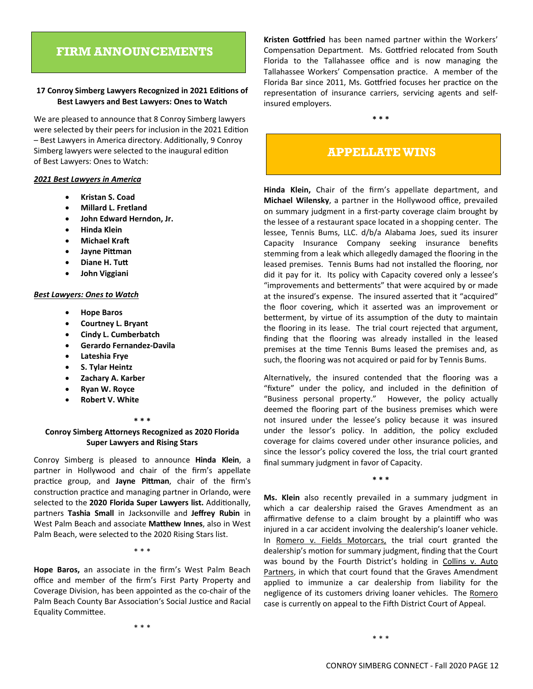## **FIRM ANNOUNCEMENTS**

#### 17 Conroy Simberg Lawyers Recognized in 2021 Editions of **Best Lawyers and Best Lawyers: Ones to Watch**

We are pleased to announce that 8 Conroy Simberg lawyers were selected by their peers for inclusion in the 2021 Edition – Best Lawyers in America directory. Additionally, 9 Conroy Simberg lawyers were selected to the inaugural edition of Best Lawyers: Ones to Watch:

#### *2021 Best Lawyers in America*

- **Kristan S. Coad**
- **Millard L. Fretland**
- **John Edward Herndon, Jr.**
- **Hinda Klein**
- **Michael Kraft**
- **Jayne PiƩman**
- **•** Diane H. Tutt
- **John Viggiani**

#### *Best Lawyers: Ones to Watch*

- **Hope Baros**
- **Courtney L. Bryant**
- **Cindy L. Cumberbatch**
- **Gerardo Fernandez‐Davila**
- **Lateshia Frye**
- **S. Tylar Heintz**
- **Zachary A. Karber**
- **Ryan W. Royce**
- **Robert V. White**

#### **\* \* \***

#### **Conroy Simberg AƩorneys Recognized as 2020 Florida Super Lawyers and Rising Stars**

Conroy Simberg is pleased to announce **Hinda Klein**, a partner in Hollywood and chair of the firm's appellate practice group, and Jayne Pittman, chair of the firm's construction practice and managing partner in Orlando, were selected to the 2020 Florida Super Lawyers list. Additionally, partners **Tashia Small** in Jacksonville and **Jeffrey Rubin** in West Palm Beach and associate **MaƩhew Innes**, also in West Palm Beach, were selected to the 2020 Rising Stars list.

\* \* \*

**Hope Baros,** an associate in the firm's West Palm Beach office and member of the firm's First Party Property and Coverage Division, has been appointed as the co‐chair of the Palm Beach County Bar Association's Social Justice and Racial Equality CommiƩee.

\* \* \*

Kristen Gottfried has been named partner within the Workers' Compensation Department. Ms. Gottfried relocated from South Florida to the Tallahassee office and is now managing the Tallahassee Workers' Compensation practice. A member of the Florida Bar since 2011, Ms. Gottfried focuses her practice on the representation of insurance carriers, servicing agents and selfinsured employers.

## **APPELLATE WINS**

**\* \* \*** 

**Hinda Klein,** Chair of the firm's appellate department, and **Michael Wilensky**, a partner in the Hollywood office, prevailed on summary judgment in a first‐party coverage claim brought by the lessee of a restaurant space located in a shopping center. The lessee, Tennis Bums, LLC. d/b/a Alabama Joes, sued its insurer Capacity Insurance Company seeking insurance benefits stemming from a leak which allegedly damaged the flooring in the leased premises. Tennis Bums had not installed the flooring, nor did it pay for it. Its policy with Capacity covered only a lessee's "improvements and betterments" that were acquired by or made at the insured's expense. The insured asserted that it "acquired" the floor covering, which it asserted was an improvement or betterment, by virtue of its assumption of the duty to maintain the flooring in its lease. The trial court rejected that argument, finding that the flooring was already installed in the leased premises at the time Tennis Bums leased the premises and, as such, the flooring was not acquired or paid for by Tennis Bums.

Alternatively, the insured contended that the flooring was a "fixture" under the policy, and included in the definition of "Business personal property." However, the policy actually deemed the flooring part of the business premises which were not insured under the lessee's policy because it was insured under the lessor's policy. In addition, the policy excluded coverage for claims covered under other insurance policies, and since the lessor's policy covered the loss, the trial court granted final summary judgment in favor of Capacity.

**\* \* \*** 

**Ms. Klein** also recently prevailed in a summary judgment in which a car dealership raised the Graves Amendment as an affirmative defense to a claim brought by a plaintiff who was injured in a car accident involving the dealership's loaner vehicle. In Romero v. Fields Motorcars, the trial court granted the dealership's motion for summary judgment, finding that the Court was bound by the Fourth District's holding in Collins v. Auto Partners, in which that court found that the Graves Amendment applied to immunize a car dealership from liability for the negligence of its customers driving loaner vehicles. The Romero case is currently on appeal to the Fifth District Court of Appeal.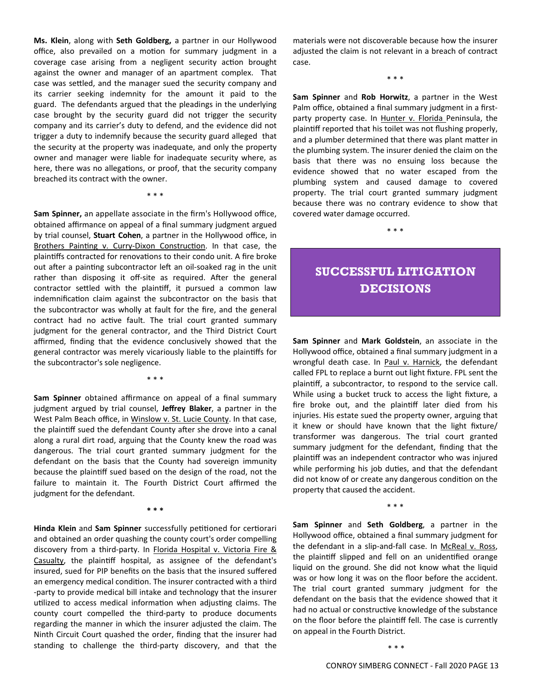**Ms. Klein**, along with **Seth Goldberg,** a partner in our Hollywood office, also prevailed on a motion for summary judgment in a coverage case arising from a negligent security action brought against the owner and manager of an apartment complex. That case was settled, and the manager sued the security company and its carrier seeking indemnity for the amount it paid to the guard. The defendants argued that the pleadings in the underlying case brought by the security guard did not trigger the security company and its carrier's duty to defend, and the evidence did not trigger a duty to indemnify because the security guard alleged that the security at the property was inadequate, and only the property owner and manager were liable for inadequate security where, as here, there was no allegations, or proof, that the security company breached its contract with the owner.

\* \* \*

**Sam Spinner,** an appellate associate in the firm's Hollywood office, obtained affirmance on appeal of a final summary judgment argued by trial counsel, **Stuart Cohen**, a partner in the Hollywood office, in Brothers Painting v. Curry-Dixon Construction. In that case, the plaintiffs contracted for renovations to their condo unit. A fire broke out after a painting subcontractor left an oil-soaked rag in the unit rather than disposing it off-site as required. After the general contractor settled with the plaintiff, it pursued a common law indemnification claim against the subcontractor on the basis that the subcontractor was wholly at fault for the fire, and the general contract had no active fault. The trial court granted summary judgment for the general contractor, and the Third District Court affirmed, finding that the evidence conclusively showed that the general contractor was merely vicariously liable to the plaintiffs for the subcontractor's sole negligence.

**Sam Spinner** obtained affirmance on appeal of a final summary judgment argued by trial counsel, **Jeffrey Blaker**, a partner in the West Palm Beach office, in Winslow v. St. Lucie County. In that case, the plaintiff sued the defendant County after she drove into a canal along a rural dirt road, arguing that the County knew the road was dangerous. The trial court granted summary judgment for the defendant on the basis that the County had sovereign immunity because the plaintiff sued based on the design of the road, not the failure to maintain it. The Fourth District Court affirmed the judgment for the defendant.

**\* \* \*** 

\* \* \*

**Hinda Klein** and **Sam Spinner** successfully petitioned for certiorari and obtained an order quashing the county court's order compelling discovery from a third-party. In Florida Hospital v. Victoria Fire & Casualty, the plaintiff hospital, as assignee of the defendant's insured, sued for PIP benefits on the basis that the insured suffered an emergency medical condition. The insurer contracted with a third ‐party to provide medical bill intake and technology that the insurer utilized to access medical information when adjusting claims. The county court compelled the third‐party to produce documents regarding the manner in which the insurer adjusted the claim. The Ninth Circuit Court quashed the order, finding that the insurer had standing to challenge the third‐party discovery, and that the

materials were not discoverable because how the insurer adjusted the claim is not relevant in a breach of contract case.

\* \* \*

**Sam Spinner** and **Rob Horwitz**, a partner in the West Palm office, obtained a final summary judgment in a first‐ party property case. In Hunter v. Florida Peninsula, the plaintiff reported that his toilet was not flushing properly, and a plumber determined that there was plant matter in the plumbing system. The insurer denied the claim on the basis that there was no ensuing loss because the evidence showed that no water escaped from the plumbing system and caused damage to covered property. The trial court granted summary judgment because there was no contrary evidence to show that covered water damage occurred.

\* \* \*

## **SUCCESSFUL LITIGATION DECISIONS**

**Sam Spinner** and **Mark Goldstein**, an associate in the Hollywood office, obtained a final summary judgment in a wrongful death case. In Paul v. Harnick, the defendant called FPL to replace a burnt out light fixture. FPL sent the plaintiff, a subcontractor, to respond to the service call. While using a bucket truck to access the light fixture, a fire broke out, and the plaintiff later died from his injuries. His estate sued the property owner, arguing that it knew or should have known that the light fixture/ transformer was dangerous. The trial court granted summary judgment for the defendant, finding that the plaintiff was an independent contractor who was injured while performing his job duties, and that the defendant did not know of or create any dangerous condition on the property that caused the accident.

**Sam Spinner** and **Seth Goldberg**, a partner in the Hollywood office, obtained a final summary judgment for the defendant in a slip-and-fall case. In McReal v. Ross, the plaintiff slipped and fell on an unidentified orange liquid on the ground. She did not know what the liquid was or how long it was on the floor before the accident. The trial court granted summary judgment for the defendant on the basis that the evidence showed that it had no actual or constructive knowledge of the substance on the floor before the plaintiff fell. The case is currently on appeal in the Fourth District.

\* \* \*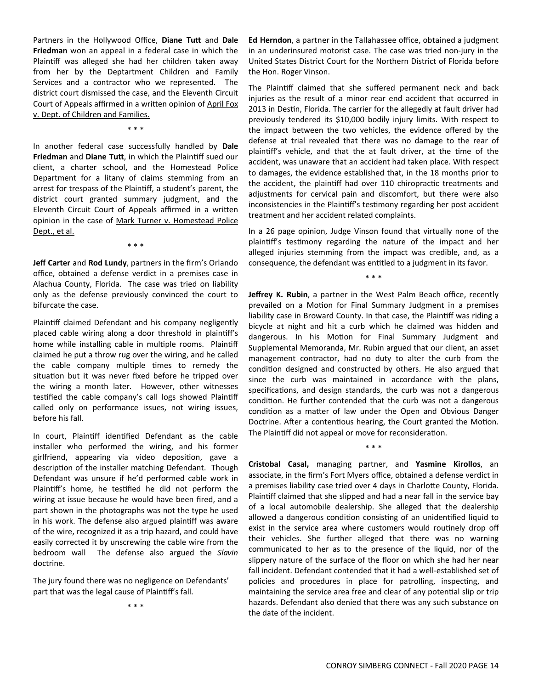Partners in the Hollywood Office, Diane Tutt and Dale **Friedman** won an appeal in a federal case in which the Plaintiff was alleged she had her children taken away from her by the Deptartment Children and Family Services and a contractor who we represented. The district court dismissed the case, and the Eleventh Circuit Court of Appeals affirmed in a written opinion of April Fox v. Dept. of Children and Families.

\* \* \*

In another federal case successfully handled by **Dale Friedman** and **Diane Tutt**, in which the Plaintiff sued our client, a charter school, and the Homestead Police Department for a litany of claims stemming from an arrest for trespass of the Plaintiff, a student's parent, the district court granted summary judgment, and the Eleventh Circuit Court of Appeals affirmed in a written opinion in the case of Mark Turner v. Homestead Police Dept., et al.

\* \* \*

**Jeff Carter** and **Rod Lundy**, partners in the firm's Orlando office, obtained a defense verdict in a premises case in Alachua County, Florida. The case was tried on liability only as the defense previously convinced the court to bifurcate the case.

Plaintiff claimed Defendant and his company negligently placed cable wiring along a door threshold in plaintiff's home while installing cable in multiple rooms. Plaintiff claimed he put a throw rug over the wiring, and he called the cable company multiple times to remedy the situation but it was never fixed before he tripped over the wiring a month later. However, other witnesses testified the cable company's call logs showed Plaintiff called only on performance issues, not wiring issues, before his fall.

In court, Plaintiff identified Defendant as the cable installer who performed the wiring, and his former girlfriend, appearing via video deposition, gave a description of the installer matching Defendant. Though Defendant was unsure if he'd performed cable work in Plaintiff's home, he testified he did not perform the wiring at issue because he would have been fired, and a part shown in the photographs was not the type he used in his work. The defense also argued plaintiff was aware of the wire, recognized it as a trip hazard, and could have easily corrected it by unscrewing the cable wire from the bedroom wall The defense also argued the *Slavin* doctrine.

The jury found there was no negligence on Defendants' part that was the legal cause of Plaintiff's fall.

\* \* \*

**Ed Herndon**, a partner in the Tallahassee office, obtained a judgment in an underinsured motorist case. The case was tried non‐jury in the United States District Court for the Northern District of Florida before the Hon. Roger Vinson.

The Plaintiff claimed that she suffered permanent neck and back injuries as the result of a minor rear end accident that occurred in 2013 in Destin, Florida. The carrier for the allegedly at fault driver had previously tendered its \$10,000 bodily injury limits. With respect to the impact between the two vehicles, the evidence offered by the defense at trial revealed that there was no damage to the rear of plaintiff's vehicle, and that the at fault driver, at the time of the accident, was unaware that an accident had taken place. With respect to damages, the evidence established that, in the 18 months prior to the accident, the plaintiff had over 110 chiropractic treatments and adjustments for cervical pain and discomfort, but there were also inconsistencies in the Plaintiff's testimony regarding her post accident treatment and her accident related complaints.

In a 26 page opinion, Judge Vinson found that virtually none of the plaintiff's testimony regarding the nature of the impact and her alleged injuries stemming from the impact was credible, and, as a consequence, the defendant was entitled to a judgment in its favor.

\* \* \* **Jeffrey K. Rubin**, a partner in the West Palm Beach office, recently prevailed on a Motion for Final Summary Judgment in a premises liability case in Broward County. In that case, the Plaintiff was riding a bicycle at night and hit a curb which he claimed was hidden and dangerous. In his Motion for Final Summary Judgment and Supplemental Memoranda, Mr. Rubin argued that our client, an asset management contractor, had no duty to alter the curb from the condition designed and constructed by others. He also argued that since the curb was maintained in accordance with the plans, specifications, and design standards, the curb was not a dangerous condition. He further contended that the curb was not a dangerous condition as a matter of law under the Open and Obvious Danger Doctrine. After a contentious hearing, the Court granted the Motion. The Plaintiff did not appeal or move for reconsideration.

**Cristobal Casal,** managing partner, and **Yasmine Kirollos**, an associate, in the firm's Fort Myers office, obtained a defense verdict in a premises liability case tried over 4 days in Charlotte County, Florida. Plaintiff claimed that she slipped and had a near fall in the service bay of a local automobile dealership. She alleged that the dealership allowed a dangerous condition consisting of an unidentified liquid to exist in the service area where customers would routinely drop off their vehicles. She further alleged that there was no warning communicated to her as to the presence of the liquid, nor of the slippery nature of the surface of the floor on which she had her near fall incident. Defendant contended that it had a well‐established set of policies and procedures in place for patrolling, inspecting, and maintaining the service area free and clear of any potential slip or trip hazards. Defendant also denied that there was any such substance on the date of the incident.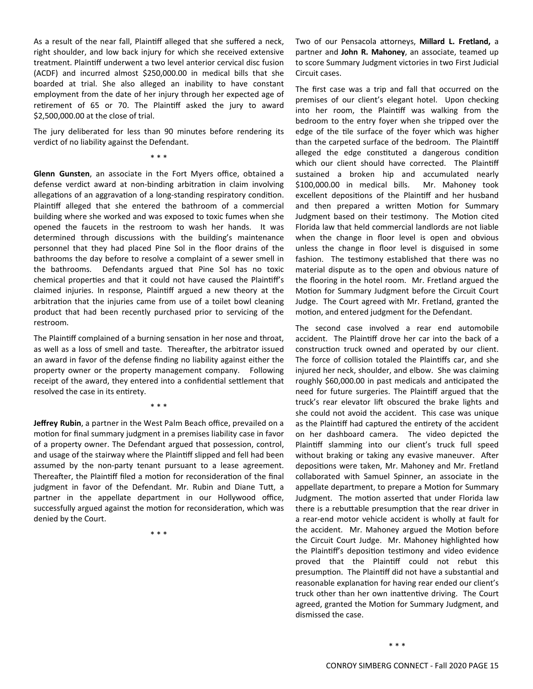As a result of the near fall, Plaintiff alleged that she suffered a neck, right shoulder, and low back injury for which she received extensive treatment. Plaintiff underwent a two level anterior cervical disc fusion (ACDF) and incurred almost \$250,000.00 in medical bills that she boarded at trial. She also alleged an inability to have constant employment from the date of her injury through her expected age of retirement of 65 or 70. The Plaintiff asked the jury to award \$2,500,000.00 at the close of trial.

The jury deliberated for less than 90 minutes before rendering its verdict of no liability against the Defendant.

\* \* \*

**Glenn Gunsten**, an associate in the Fort Myers office, obtained a defense verdict award at non-binding arbitration in claim involving allegations of an aggravation of a long-standing respiratory condition. Plaintiff alleged that she entered the bathroom of a commercial building where she worked and was exposed to toxic fumes when she opened the faucets in the restroom to wash her hands. It was determined through discussions with the building's maintenance personnel that they had placed Pine Sol in the floor drains of the bathrooms the day before to resolve a complaint of a sewer smell in the bathrooms. Defendants argued that Pine Sol has no toxic chemical properties and that it could not have caused the Plaintiff's claimed injuries. In response, Plaintiff argued a new theory at the arbitration that the injuries came from use of a toilet bowl cleaning product that had been recently purchased prior to servicing of the restroom.

The Plaintiff complained of a burning sensation in her nose and throat, as well as a loss of smell and taste. Thereafter, the arbitrator issued an award in favor of the defense finding no liability against either the property owner or the property management company. Following receipt of the award, they entered into a confidential settlement that resolved the case in its entirety.

\* \* \*

**Jeffrey Rubin**, a partner in the West Palm Beach office, prevailed on a motion for final summary judgment in a premises liability case in favor of a property owner. The Defendant argued that possession, control, and usage of the stairway where the Plaintiff slipped and fell had been assumed by the non‐party tenant pursuant to a lease agreement. Thereafter, the Plaintiff filed a motion for reconsideration of the final judgment in favor of the Defendant. Mr. Rubin and Diane Tutt, a partner in the appellate department in our Hollywood office, successfully argued against the motion for reconsideration, which was denied by the Court.

\* \* \*

Two of our Pensacola aƩorneys, **Millard L. Fretland,** a partner and **John R. Mahoney**, an associate, teamed up to score Summary Judgment victories in two First Judicial Circuit cases.

The first case was a trip and fall that occurred on the premises of our client's elegant hotel. Upon checking into her room, the Plaintiff was walking from the bedroom to the entry foyer when she tripped over the edge of the tile surface of the foyer which was higher than the carpeted surface of the bedroom. The Plaintiff alleged the edge constituted a dangerous condition which our client should have corrected. The Plaintiff sustained a broken hip and accumulated nearly \$100,000.00 in medical bills. Mr. Mahoney took excellent depositions of the Plaintiff and her husband and then prepared a written Motion for Summary Judgment based on their testimony. The Motion cited Florida law that held commercial landlords are not liable when the change in floor level is open and obvious unless the change in floor level is disguised in some fashion. The testimony established that there was no material dispute as to the open and obvious nature of the flooring in the hotel room. Mr. Fretland argued the Motion for Summary Judgment before the Circuit Court Judge. The Court agreed with Mr. Fretland, granted the motion, and entered judgment for the Defendant.

The second case involved a rear end automobile accident. The Plaintiff drove her car into the back of a construction truck owned and operated by our client. The force of collision totaled the Plaintiffs car, and she injured her neck, shoulder, and elbow. She was claiming roughly \$60,000.00 in past medicals and anticipated the need for future surgeries. The Plaintiff argued that the truck's rear elevator lift obscured the brake lights and she could not avoid the accident. This case was unique as the Plaintiff had captured the entirety of the accident on her dashboard camera. The video depicted the Plaintiff slamming into our client's truck full speed without braking or taking any evasive maneuver. After depositions were taken, Mr. Mahoney and Mr. Fretland collaborated with Samuel Spinner, an associate in the appellate department, to prepare a Motion for Summary Judgment. The motion asserted that under Florida law there is a rebuttable presumption that the rear driver in a rear‐end motor vehicle accident is wholly at fault for the accident. Mr. Mahoney argued the Motion before the Circuit Court Judge. Mr. Mahoney highlighted how the Plaintiff's deposition testimony and video evidence proved that the Plaintiff could not rebut this presumption. The Plaintiff did not have a substantial and reasonable explanation for having rear ended our client's truck other than her own inattentive driving. The Court agreed, granted the Motion for Summary Judgment, and dismissed the case.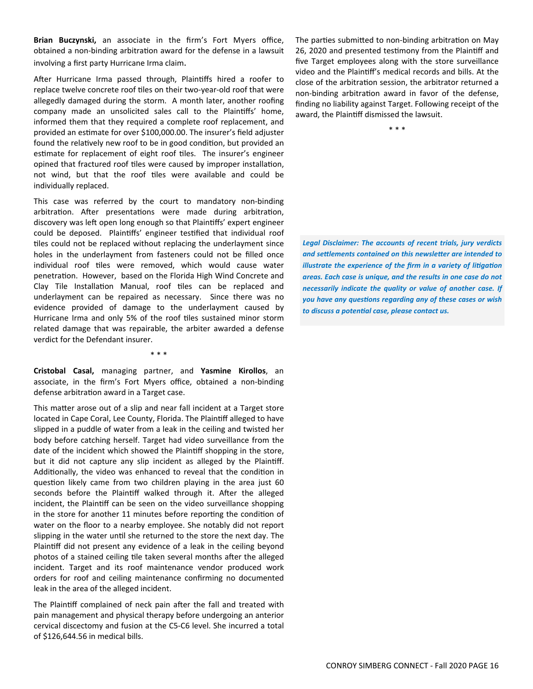**Brian Buczynski,** an associate in the firm's Fort Myers office, obtained a non-binding arbitration award for the defense in a lawsuit involving a first party Hurricane Irma claim.

After Hurricane Irma passed through, Plaintiffs hired a roofer to replace twelve concrete roof tiles on their two-year-old roof that were allegedly damaged during the storm. A month later, another roofing company made an unsolicited sales call to the Plaintiffs' home, informed them that they required a complete roof replacement, and provided an estimate for over \$100,000.00. The insurer's field adjuster found the relatively new roof to be in good condition, but provided an estimate for replacement of eight roof tiles. The insurer's engineer opined that fractured roof tiles were caused by improper installation, not wind, but that the roof tiles were available and could be individually replaced.

This case was referred by the court to mandatory non‐binding arbitration. After presentations were made during arbitration, discovery was left open long enough so that Plaintiffs' expert engineer could be deposed. Plaintiffs' engineer testified that individual roof tiles could not be replaced without replacing the underlayment since holes in the underlayment from fasteners could not be filled once individual roof tiles were removed, which would cause water penetration. However, based on the Florida High Wind Concrete and Clay Tile Installation Manual, roof tiles can be replaced and underlayment can be repaired as necessary. Since there was no evidence provided of damage to the underlayment caused by Hurricane Irma and only 5% of the roof tiles sustained minor storm related damage that was repairable, the arbiter awarded a defense verdict for the Defendant insurer.

\* \* \*

**Cristobal Casal,** managing partner, and **Yasmine Kirollos**, an associate, in the firm's Fort Myers office, obtained a non‐binding defense arbitration award in a Target case.

This matter arose out of a slip and near fall incident at a Target store located in Cape Coral, Lee County, Florida. The Plaintiff alleged to have slipped in a puddle of water from a leak in the ceiling and twisted her body before catching herself. Target had video surveillance from the date of the incident which showed the Plaintiff shopping in the store, but it did not capture any slip incident as alleged by the Plaintiff. Additionally, the video was enhanced to reveal that the condition in question likely came from two children playing in the area just 60 seconds before the Plaintiff walked through it. After the alleged incident, the Plaintiff can be seen on the video surveillance shopping in the store for another 11 minutes before reporting the condition of water on the floor to a nearby employee. She notably did not report slipping in the water until she returned to the store the next day. The Plaintiff did not present any evidence of a leak in the ceiling beyond photos of a stained ceiling tile taken several months after the alleged incident. Target and its roof maintenance vendor produced work orders for roof and ceiling maintenance confirming no documented leak in the area of the alleged incident.

The Plaintiff complained of neck pain after the fall and treated with pain management and physical therapy before undergoing an anterior cervical discectomy and fusion at the C5‐C6 level. She incurred a total of \$126,644.56 in medical bills.

The parties submitted to non-binding arbitration on May 26, 2020 and presented testimony from the Plaintiff and five Target employees along with the store surveillance video and the Plaintiff's medical records and bills. At the close of the arbitration session, the arbitrator returned a non-binding arbitration award in favor of the defense, finding no liability against Target. Following receipt of the award, the Plaintiff dismissed the lawsuit.

\* \* \*

*Legal Disclaimer: The accounts of recent trials, jury verdicts and seƩlements contained on this newsleƩer are intended to illustrate the experience of the firm in a variety of litigation areas. Each case is unique, and the results in one case do not necessarily indicate the quality or value of another case. If you have any quesƟons regarding any of these cases or wish to discuss a potenƟal case, please contact us.*